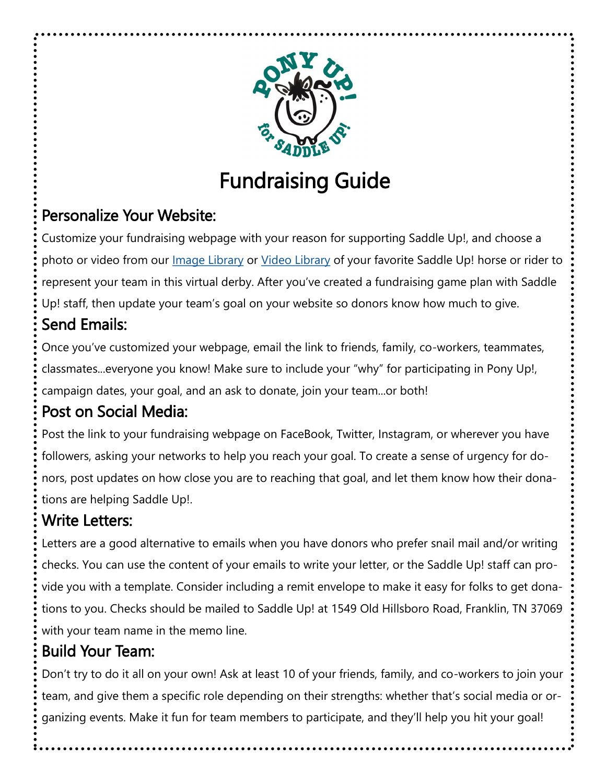

# Fundraising Guide

### Personalize Your Website:

Customize your fundraising webpage with your reason for supporting Saddle Up!, and choose a photo or video from our *Image Library* or *Video Library* of your favorite Saddle Up! horse or rider to represent your team in this virtual derby. After you've created a fundraising game plan with Saddle Up! staff, then update your team's goal on your website so donors know how much to give.

# Send Emails:

Once you've customized your webpage, email the link to friends, family, co-workers, teammates, classmates...everyone you know! Make sure to include your "why" for participating in Pony Up!, campaign dates, your goal, and an ask to donate, join your team...or both!

### Post on Social Media:

Post the link to your fundraising webpage on FaceBook, Twitter, Instagram, or wherever you have followers, asking your networks to help you reach your goal. To create a sense of urgency for donors, post updates on how close you are to reaching that goal, and let them know how their donations are helping Saddle Up!.

### Write Letters:

Letters are a good alternative to emails when you have donors who prefer snail mail and/or writing checks. You can use the content of your emails to write your letter, or the Saddle Up! staff can provide you with a template. Consider including a remit envelope to make it easy for folks to get donations to you. Checks should be mailed to Saddle Up! at 1549 Old Hillsboro Road, Franklin, TN 37069 with your team name in the memo line.

#### Build Your Team:

Don't try to do it all on your own! Ask at least 10 of your friends, family, and co-workers to join your team, and give them a specific role depending on their strengths: whether that's social media or organizing events. Make it fun for team members to participate, and they'll help you hit your goal!